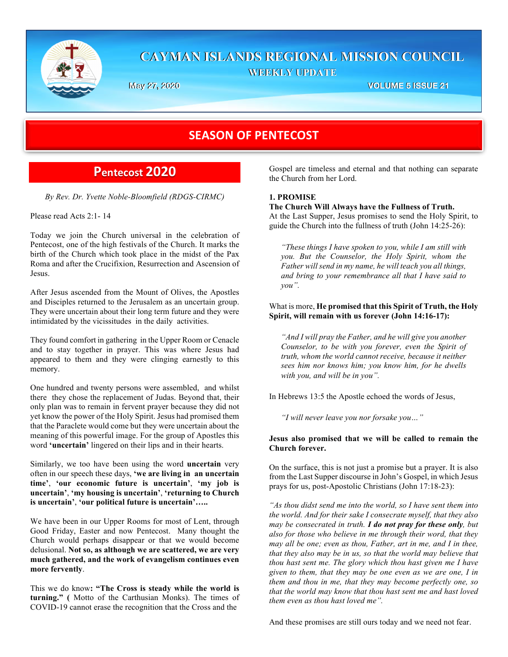

## **CAYMAN ISLANDS REGIONAL MISSION COUNCIL WEEKLY UPDATE**

**May 27, 2020 VOLUME 5 ISSUE 21**

# **SEASON OF PENTECOST**

# **Pentecost 2020**

*By Rev. Dr. Yvette Noble-Bloomfield (RDGS-CIRMC)*

Please read Acts 2:1- 14

Today we join the Church universal in the celebration of Pentecost, one of the high festivals of the Church. It marks the birth of the Church which took place in the midst of the Pax Roma and after the Crucifixion, Resurrection and Ascension of Jesus.

After Jesus ascended from the Mount of Olives, the Apostles and Disciples returned to the Jerusalem as an uncertain group. They were uncertain about their long term future and they were intimidated by the vicissitudes in the daily activities.

They found comfort in gathering in the Upper Room or Cenacle and to stay together in prayer. This was where Jesus had appeared to them and they were clinging earnestly to this memory.

One hundred and twenty persons were assembled, and whilst there they chose the replacement of Judas. Beyond that, their only plan was to remain in fervent prayer because they did not yet know the power of the Holy Spirit. Jesus had promised them that the Paraclete would come but they were uncertain about the meaning of this powerful image. For the group of Apostles this word **'uncertain'** lingered on their lips and in their hearts.

Similarly, we too have been using the word **uncertain** very often in our speech these days, **'we are living in an uncertain time'**, **'our economic future is uncertain'**, **'my job is uncertain'**, **'my housing is uncertain'**, **'returning to Church is uncertain'**, **'our political future is uncertain'…..**

We have been in our Upper Rooms for most of Lent, through Good Friday, Easter and now Pentecost. Many thought the Church would perhaps disappear or that we would become delusional. **Not so, as although we are scattered, we are very much gathered, and the work of evangelism continues even more fervently**.

This we do know**: "The Cross is steady while the world is turning." (** Motto of the Carthusian Monks). The times of COVID-19 cannot erase the recognition that the Cross and the

Gospel are timeless and eternal and that nothing can separate the Church from her Lord.

## **1. PROMISE**

**The Church Will Always have the Fullness of Truth.** At the Last Supper, Jesus promises to send the Holy Spirit, to guide the Church into the fullness of truth (John 14:25-26):

*"These things I have spoken to you, while I am still with you. But the Counselor, the Holy Spirit, whom the Father will send in my name, he will teach you all things, and bring to your remembrance all that I have said to you".*

What is more, **He promised that this Spirit of Truth, the Holy Spirit, will remain with us forever (John 14:16-17):**

*"And I will pray the Father, and he will give you another Counselor, to be with you forever, even the Spirit of truth, whom the world cannot receive, because it neither sees him nor knows him; you know him, for he dwells with you, and will be in you".*

In Hebrews 13:5 the Apostle echoed the words of Jesus,

*"I will never leave you nor forsake you…"* 

## **Jesus also promised that we will be called to remain the Church forever.**

On the surface, this is not just a promise but a prayer. It is also from the Last Supper discourse in John's Gospel, in which Jesus prays for us, post-Apostolic Christians (John 17:18-23):

*"As thou didst send me into the world, so I have sent them into the world. And for their sake I consecrate myself, that they also may be consecrated in truth. I do not pray for these only, but also for those who believe in me through their word, that they may all be one; even as thou, Father, art in me, and I in thee, that they also may be in us, so that the world may believe that thou hast sent me. The glory which thou hast given me I have given to them, that they may be one even as we are one, I in them and thou in me, that they may become perfectly one, so that the world may know that thou hast sent me and hast loved them even as thou hast loved me".*

And these promises are still ours today and we need not fear.